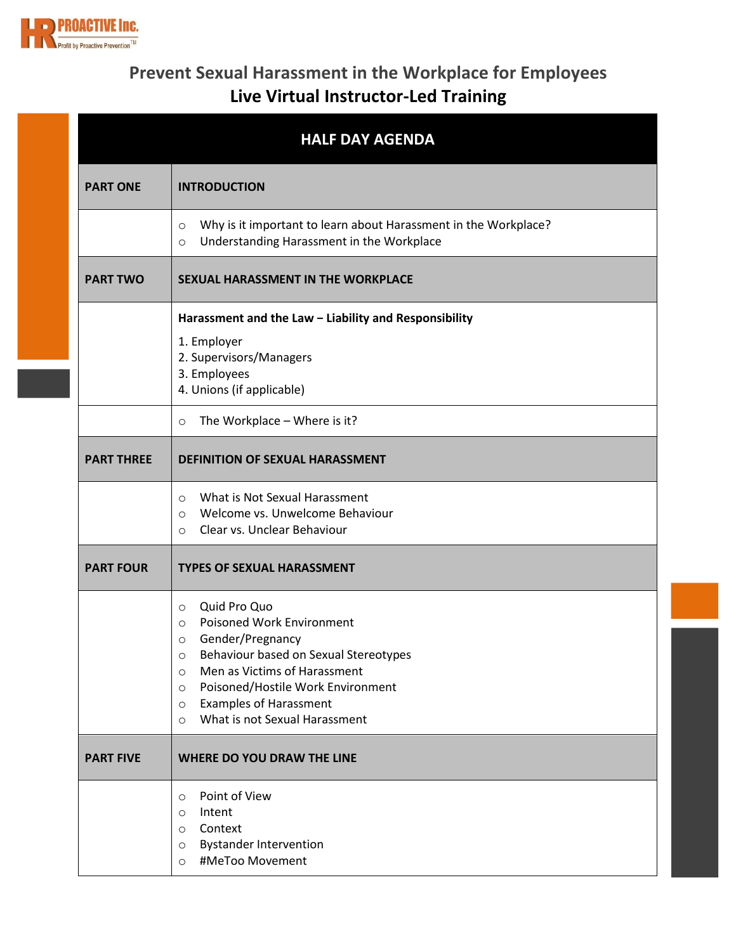

## **Prevent Sexual Harassment in the Workplace for Employees Live Virtual Instructor-Led Training**

|                   | <b>HALF DAY AGENDA</b>                                                                                                             |
|-------------------|------------------------------------------------------------------------------------------------------------------------------------|
| <b>PART ONE</b>   | <b>INTRODUCTION</b>                                                                                                                |
|                   | Why is it important to learn about Harassment in the Workplace?<br>$\circ$<br>Understanding Harassment in the Workplace<br>$\circ$ |
| <b>PART TWO</b>   | <b>SEXUAL HARASSMENT IN THE WORKPLACE</b>                                                                                          |
|                   | Harassment and the Law - Liability and Responsibility                                                                              |
|                   | 1. Employer                                                                                                                        |
|                   | 2. Supervisors/Managers<br>3. Employees                                                                                            |
|                   | 4. Unions (if applicable)                                                                                                          |
|                   | The Workplace - Where is it?<br>$\circ$                                                                                            |
| <b>PART THREE</b> | <b>DEFINITION OF SEXUAL HARASSMENT</b>                                                                                             |
|                   | What is Not Sexual Harassment<br>$\circ$                                                                                           |
|                   | Welcome vs. Unwelcome Behaviour<br>$\circ$<br>Clear vs. Unclear Behaviour<br>$\circ$                                               |
| <b>PART FOUR</b>  | <b>TYPES OF SEXUAL HARASSMENT</b>                                                                                                  |
|                   | Quid Pro Quo<br>$\circ$                                                                                                            |
|                   | <b>Poisoned Work Environment</b><br>$\circ$<br>o Gender/Pregnancy                                                                  |
|                   | Behaviour based on Sexual Stereotypes<br>$\circ$                                                                                   |
|                   | Men as Victims of Harassment<br>$\circ$                                                                                            |
|                   | Poisoned/Hostile Work Environment<br>$\circ$<br><b>Examples of Harassment</b><br>$\circ$                                           |
|                   | What is not Sexual Harassment<br>$\circ$                                                                                           |
| <b>PART FIVE</b>  | <b>WHERE DO YOU DRAW THE LINE</b>                                                                                                  |
|                   | Point of View<br>$\circ$                                                                                                           |
|                   | Intent<br>$\circ$                                                                                                                  |
|                   | Context<br>$\circ$<br><b>Bystander Intervention</b><br>$\circ$                                                                     |
|                   | #MeToo Movement<br>$\circ$                                                                                                         |